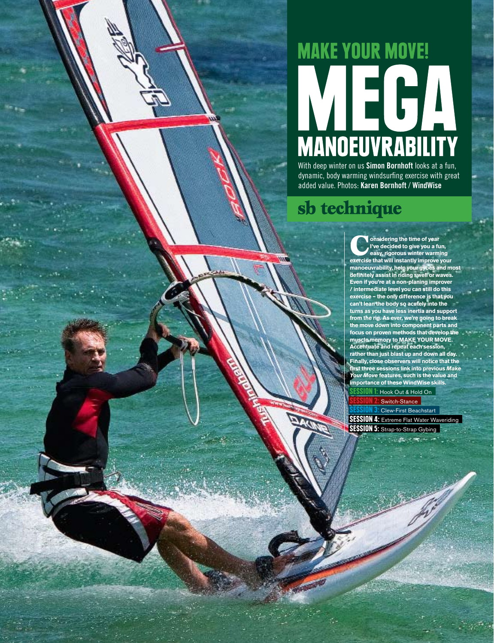# **MAKE YOUR MOVE!** WITH  $\bigcup_{\text{Wth deep winter on us Simon Bornhot looks at a fun.}}$

dynamic, body warming windsurfing exercise with great added value. Photos: **Karen Bornhoft** / **WindWise**

## sb technique

**example 15 on sidering the time of year I've decided to give you a fun, easy, rigorous winter warming exercise that will instantly improve you I've decided to give you a fun, exercise that will instantly improve your manoeuvrability, help your gybes and most definitely assist in riding swell or waves. Even if you're at a non-planing improver / intermediate level you can still do this exercise – the only difference is that you can't lean the body so acutely into the turns as you have less inertia and support from the rig. As ever, we're going to break the move down into component parts and focus on proven methods that develop the muscle memory to MAKE YOUR MOVE. Accentuate and repeat each session, rather than just blast up and down all day. Finally, close observers will notice that the first three sessions link into previous** *Make Your Move* **features, such is the value and importance of these WindWise skills.** 

1: Hook Out & Hold On Switch-Stance

Clew-First Beachstart **SESSION 4: Extreme Flat Water Waveriding** SESSION 5: Strap-to-Strap Gybing

FEBRUARY '11 | boards.co.uk 25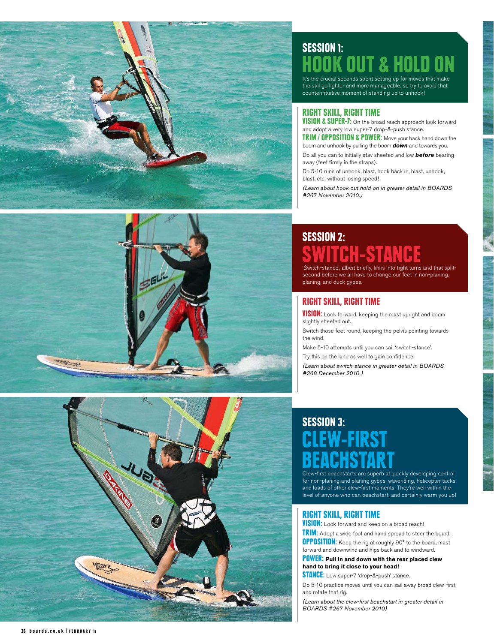





## Session 1: OOK OUT & HOLD HOOK OUT & HOLD ON

the sail go lighter and more manageable, so try to avoid that counterintuitive moment of standing up to unhook!

#### RIGHT SKILL, RIGHT TIME

VISION & SUPER-7: On the broad reach approach look forward and adopt a very low super-7 drop-&-push stance.

TRIM / OPPOSITION & POWER: Move your back hand down the boom and unhook by pulling the boom *down* and towards you.

Do all you can to initially stay sheeted and low *before* bearingaway (feet firmly in the straps).

Do 5-10 runs of unhook, blast, hook back in, blast, unhook, blast, etc, without losing speed!

*(Learn about hook-out hold-on in greater detail in BOARDS #267 November 2010.)*

# Session 2: SWITCH-STANCE<br>'Switch-stance', albeit briefly, links into tight turns and that split-

second before we all have to change our feet in non-planing, planing, and duck gybes.

## RIGHT SKILL, RIGHT TIME

**VISION:** Look forward, keeping the mast upright and boom slightly sheeted out.

Switch those feet round, keeping the pelvis pointing towards the wind.

Make 5-10 attempts until you can sail 'switch-stance'.

Try this on the land as well to gain confidence.

*(Learn about switch-stance in greater detail in BOARDS #268 December 2010.)*

# Session 3: **EW-FIRST**

Clew-first beachstarts are superb at quickly developing control for non-planing and planing gybes, waveriding, helicopter tacks and loads of other clew-first moments. They're well within the level of anyone who can beachstart, and certainly warm you up!

## RIGHT SKILL, RIGHT TIME

**VISION:** Look forward and keep on a broad reach!

**TRIM:** Adopt a wide foot and hand spread to steer the board.

**OPPOSITION:** Keep the rig at roughly 90° to the board, mast forward and downwind and hips back and to windward.

**POWER:** Pull in and down with the rear placed clew **hand to bring it close to your head!**

STANCE: Low super-7 'drop-&-push' stance.

Do 5-10 practice moves until you can sail away broad clew-first and rotate that rig.

*(Learn about the clew-first beachstart in greater detail in BOARDS #267 November 2010)*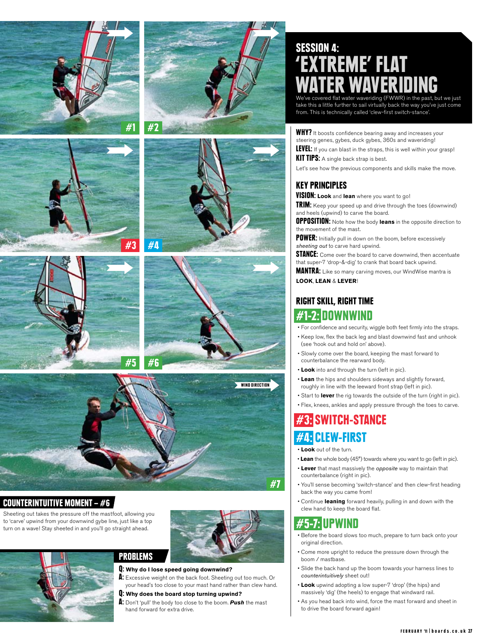







## COUNTERINTUITIVE MOMENT –  $#6$

Sheeting out takes the pressure off the mastfoot, allowing you to 'carve' upwind from your downwind gybe line, just like a top turn on a wave! Stay sheeted in and you'll go straight ahead.



#### Q: **Why do I lose speed going downwind?**

A: Excessive weight on the back foot. Sheeting out too much. Or your head's too close to your mast hand rather than clew hand.

#### Q: **Why does the board stop turning upwind?**

A: Don't 'pull' the body too close to the boom. *Push* the mast hand forward for extra drive.

# SESSION 4: REME' FLAT WATER WAVERIDING<br>We've covered flat water waveriding (FWWR) in the past, but we just

take this a little further to sail virtually back the way you've just come from. This is technically called 'clew-first switch-stance'.

**WHY?** It boosts confidence bearing away and increases your steering genes, gybes, duck gybes, 360s and waveriding!

LEVEL: If you can blast in the straps, this is well within your grasp! **KIT TIPS:** A single back strap is best.

Let's see how the previous components and skills make the move.

#### Key Principles

**VISION: Look** and **lean** where you want to go!

TRIM: Keep your speed up and drive through the toes (downwind) and heels (upwind) to carve the board.

**OPPOSITION:** Note how the body leans in the opposite direction to the movement of the mast.

POWER: Initially pull in down on the boom, before excessively *sheeting out* to carve hard upwind.

**STANCE:** Come over the board to carve downwind, then accentuate that super-7 'drop-&-dig' to crank that board back upwind.

**MANTRA:** Like so many carving moves, our WindWise mantra is **LOOK**, **LEAN** & **LEVER**!

## Right Skill, Right Time #1-2: DOWNWIND

- For confidence and security, wiggle both feet firmly into the straps.
- Keep low, flex the back leg and blast downwind fast and unhook (see 'hook out and hold on' above).
- Slowly come over the board, keeping the mast forward to counterbalance the rearward body.
- **Look** into and through the turn (left in pic).
- **Lean** the hips and shoulders sideways and slightly forward, roughly in line with the leeward front strap (left in pic).
- Start to **lever** the rig towards the outside of the turn (right in pic).
- Flex, knees, ankles and apply pressure through the toes to carve.

## SWITCH-STANCE #4: CLEW-FIRST

• **Look** out of the turn.

#7

- **Lean** the whole body (45°) towards where you want to go (left in pic).
- **Lever** that mast massively the *opposite* way to maintain that counterbalance (right in pic).
- You'll sense becoming 'switch-stance' and then clew-first heading back the way you came from!
- Continue **leaning** forward heavily, pulling in and down with the clew hand to keep the board flat.

## #5-7: UPWIND

- Before the board slows too much, prepare to turn back onto your original direction.
- Come more upright to reduce the pressure down through the boom / mastbase.
- Slide the back hand up the boom towards your harness lines to *counterintuitively* sheet out!
- **Look** upwind adopting a low super-7 'drop' (the hips) and massively 'dig' (the heels) to engage that windward rail.
- As you head back into wind, force the mast forward and sheet in to drive the board forward again!







#2